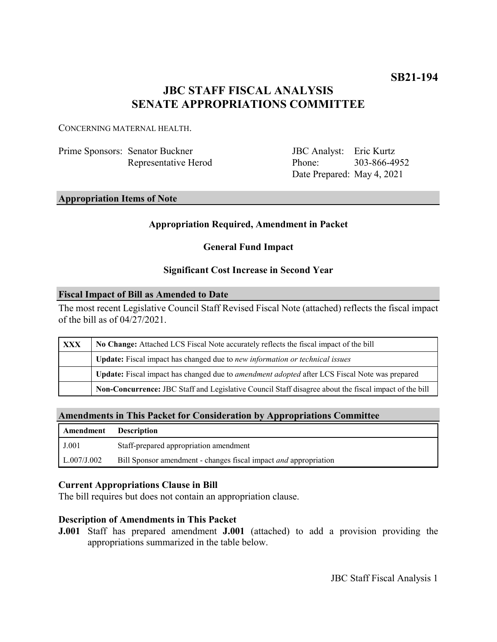# **JBC STAFF FISCAL ANALYSIS SENATE APPROPRIATIONS COMMITTEE**

CONCERNING MATERNAL HEALTH.

| Prime Sponsors: Senator Buckner |  |  |  |
|---------------------------------|--|--|--|
| Representative Herod            |  |  |  |

JBC Analyst: Eric Kurtz Phone: Date Prepared: May 4, 2021 303-866-4952

## **Appropriation Items of Note**

# **Appropriation Required, Amendment in Packet**

# **General Fund Impact**

## **Significant Cost Increase in Second Year**

### **Fiscal Impact of Bill as Amended to Date**

The most recent Legislative Council Staff Revised Fiscal Note (attached) reflects the fiscal impact of the bill as of 04/27/2021.

| XXX | No Change: Attached LCS Fiscal Note accurately reflects the fiscal impact of the bill                 |
|-----|-------------------------------------------------------------------------------------------------------|
|     | Update: Fiscal impact has changed due to new information or technical issues                          |
|     | Update: Fiscal impact has changed due to <i>amendment adopted</i> after LCS Fiscal Note was prepared  |
|     | Non-Concurrence: JBC Staff and Legislative Council Staff disagree about the fiscal impact of the bill |

### **Amendments in This Packet for Consideration by Appropriations Committee**

| <b>Amendment</b> Description |                                                                         |
|------------------------------|-------------------------------------------------------------------------|
| J.001                        | Staff-prepared appropriation amendment                                  |
| L.007/J.002                  | Bill Sponsor amendment - changes fiscal impact <i>and</i> appropriation |

## **Current Appropriations Clause in Bill**

The bill requires but does not contain an appropriation clause.

## **Description of Amendments in This Packet**

**J.001** Staff has prepared amendment **J.001** (attached) to add a provision providing the appropriations summarized in the table below.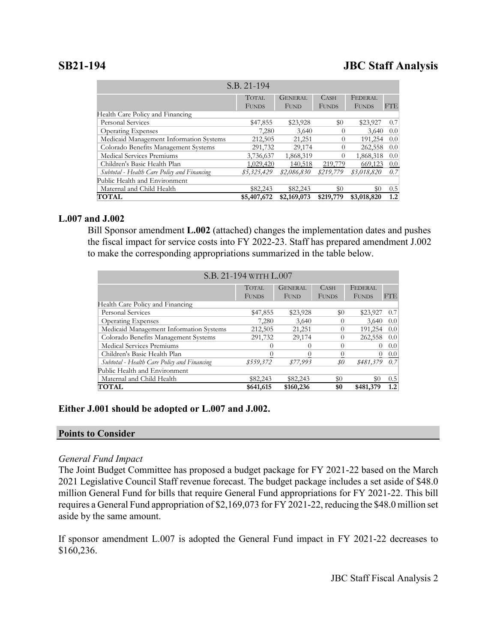# **SB21-194 JBC Staff Analysis**

| S.B. 21-194                                 |              |                |                  |              |                  |  |  |  |  |
|---------------------------------------------|--------------|----------------|------------------|--------------|------------------|--|--|--|--|
|                                             | <b>TOTAL</b> | <b>GENERAL</b> | CASH             | FEDERAL      |                  |  |  |  |  |
|                                             | <b>FUNDS</b> | <b>FUND</b>    | <b>FUNDS</b>     | <b>FUNDS</b> | <b>FTE</b>       |  |  |  |  |
| Health Care Policy and Financing            |              |                |                  |              |                  |  |  |  |  |
| <b>Personal Services</b>                    | \$47,855     | \$23,928       | \$0              | \$23,927     | 0.7              |  |  |  |  |
| <b>Operating Expenses</b>                   | 7,280        | 3,640          | $\theta$         | 3,640        | 0.0 <sub>l</sub> |  |  |  |  |
| Medicaid Management Information Systems     | 212,505      | 21,251         | $\left( \right)$ | 191,254      | 0.0 <sub>l</sub> |  |  |  |  |
| Colorado Benefits Management Systems        | 291,732      | 29,174         | $\theta$         | 262,558      | 0.0 <sub>1</sub> |  |  |  |  |
| Medical Services Premiums                   | 3,736,637    | 1,868,319      | $\Omega$         | 1,868,318    | 0.0 <sub>l</sub> |  |  |  |  |
| Children's Basic Health Plan                | 1,029,420    | 140,518        | 219,779          | 669,123      | 0.0              |  |  |  |  |
| Subtotal - Health Care Policy and Financing | \$5,325,429  | \$2,086,830    | \$219,779        | \$3,018,820  | 0.7              |  |  |  |  |
| Public Health and Environment               |              |                |                  |              |                  |  |  |  |  |
| Maternal and Child Health                   | \$82,243     | \$82,243       | \$0              | $\$0$        | 0.5              |  |  |  |  |
| <b>TOTAL</b>                                | \$5,407,672  | \$2,169,073    | \$219,779        | \$3,018,820  | 1.2              |  |  |  |  |

### **L.007 and J.002**

Bill Sponsor amendment **L.002** (attached) changes the implementation dates and pushes the fiscal impact for service costs into FY 2022-23. Staff has prepared amendment J.002 to make the corresponding appropriations summarized in the table below.

| S.B. 21-194 WITH L.007                      |              |                |              |              |            |  |  |  |
|---------------------------------------------|--------------|----------------|--------------|--------------|------------|--|--|--|
|                                             | <b>TOTAL</b> | <b>GENERAL</b> | <b>CASH</b>  | FEDERAL      |            |  |  |  |
|                                             | <b>FUNDS</b> | FUND           | <b>FUNDS</b> | <b>FUNDS</b> | <b>FTE</b> |  |  |  |
| Health Care Policy and Financing            |              |                |              |              |            |  |  |  |
| Personal Services                           | \$47,855     | \$23,928       | \$0          | \$23,927     | 0.7        |  |  |  |
| <b>Operating Expenses</b>                   | 7,280        | 3,640          | $\Omega$     | 3,640        | 0.0        |  |  |  |
| Medicaid Management Information Systems     | 212,505      | 21,251         | $\theta$     | 191,254      | 0.0        |  |  |  |
| Colorado Benefits Management Systems        | 291,732      | 29,174         | $\Omega$     | 262,558      | 0.0        |  |  |  |
| Medical Services Premiums                   | $^{()}$      | 0              | $\Omega$     | $\theta$     | 0.0        |  |  |  |
| Children's Basic Health Plan                | 0            | 0              | $\theta$     | $\theta$     | 0.0        |  |  |  |
| Subtotal - Health Care Policy and Financing | \$559,372    | \$77,993       | \$0          | \$481,379    | 0.7        |  |  |  |
| Public Health and Environment               |              |                |              |              |            |  |  |  |
| Maternal and Child Health                   | \$82,243     | \$82,243       | \$0          | \$0          | 0.5        |  |  |  |
| <b>TOTAL</b>                                | \$641,615    | \$160,236      | \$0          | \$481,379    | $1.2\,$    |  |  |  |

### **Either J.001 should be adopted or L.007 and J.002.**

### **Points to Consider**

### *General Fund Impact*

The Joint Budget Committee has proposed a budget package for FY 2021-22 based on the March 2021 Legislative Council Staff revenue forecast. The budget package includes a set aside of \$48.0 million General Fund for bills that require General Fund appropriations for FY 2021-22. This bill requires a General Fund appropriation of \$2,169,073 for FY 2021-22, reducing the \$48.0 million set aside by the same amount.

If sponsor amendment L.007 is adopted the General Fund impact in FY 2021-22 decreases to \$160,236.